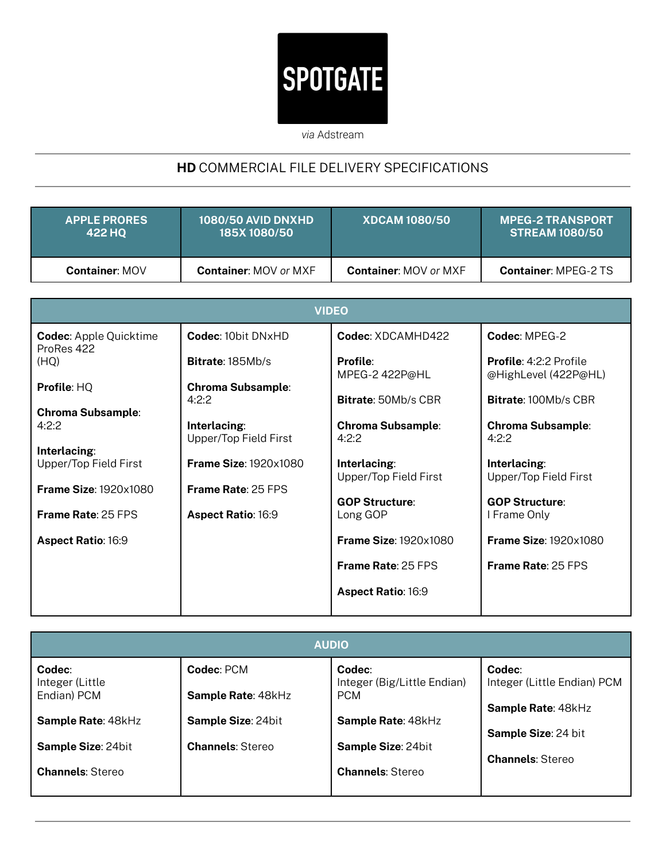## **SPOTGATE**

*via* Adstream

## **HD** COMMERCIAL FILE DELIVERY SPECIFICATIONS

| <b>APPLE PRORES</b>   | <b>1080/50 AVID DNXHD</b>    | <b>XDCAM 1080/50</b>         | <b>MPEG-2 TRANSPORT</b>     |
|-----------------------|------------------------------|------------------------------|-----------------------------|
| 422 HO                | <b>185X 1080/50</b>          |                              | <b>STREAM 1080/50</b>       |
| <b>Container: MOV</b> | <b>Container: MOV or MXF</b> | <b>Container: MOV or MXF</b> | <b>Container: MPEG-2 TS</b> |

| <b>VIDEO</b>                 |                              |                                                                                                                            |  |  |
|------------------------------|------------------------------|----------------------------------------------------------------------------------------------------------------------------|--|--|
| <b>Codec: 10bit DNxHD</b>    | Codec: XDCAMHD422            | Codec: MPEG-2                                                                                                              |  |  |
| <b>Bitrate: 185Mb/s</b>      | Profile:                     | <b>Profile: 4:2:2 Profile</b><br>@HighLevel (422P@HL)                                                                      |  |  |
| <b>Chroma Subsample:</b>     |                              | <b>Bitrate: 100Mb/s CBR</b>                                                                                                |  |  |
|                              |                              | <b>Chroma Subsample:</b>                                                                                                   |  |  |
| Upper/Top Field First        | 4:2:2                        | 4:2:2                                                                                                                      |  |  |
| <b>Frame Size: 1920x1080</b> | Interlacing:                 | Interlacing:<br>Upper/Top Field First                                                                                      |  |  |
| <b>Frame Rate: 25 FPS</b>    |                              |                                                                                                                            |  |  |
| <b>Aspect Ratio: 16:9</b>    | Long GOP                     | <b>GOP Structure:</b><br>I Frame Only                                                                                      |  |  |
|                              | <b>Frame Size: 1920x1080</b> | <b>Frame Size: 1920x1080</b>                                                                                               |  |  |
|                              | <b>Frame Rate: 25 FPS</b>    | <b>Frame Rate: 25 FPS</b>                                                                                                  |  |  |
|                              | <b>Aspect Ratio: 16:9</b>    |                                                                                                                            |  |  |
|                              | 4:2:2<br>Interlacing:        | MPEG-2 422P@HL<br><b>Bitrate: 50Mb/s CBR</b><br><b>Chroma Subsample:</b><br>Upper/Top Field First<br><b>GOP Structure:</b> |  |  |

| <b>AUDIO</b>              |                         |                                       |                                       |  |  |
|---------------------------|-------------------------|---------------------------------------|---------------------------------------|--|--|
| Codec:<br>Integer (Little | Codec: PCM              | Codec:<br>Integer (Big/Little Endian) | Codec:<br>Integer (Little Endian) PCM |  |  |
| Endian) PCM               | Sample Rate: 48kHz      | <b>PCM</b>                            | Sample Rate: 48kHz                    |  |  |
| Sample Rate: 48kHz        | Sample Size: 24bit      | Sample Rate: 48kHz                    | <b>Sample Size: 24 bit</b>            |  |  |
| Sample Size: 24bit        | <b>Channels: Stereo</b> | <b>Sample Size: 24bit</b>             | <b>Channels: Stereo</b>               |  |  |
| <b>Channels: Stereo</b>   |                         | <b>Channels: Stereo</b>               |                                       |  |  |